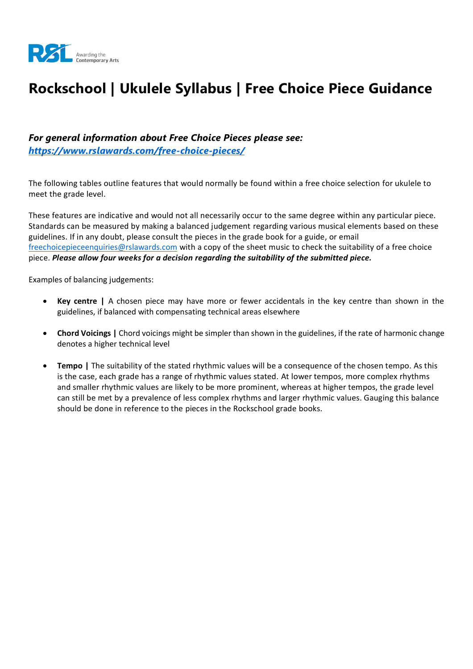

# **Rockschool | Ukulele Syllabus | Free Choice Piece Guidance**

#### *For general information about Free Choice Pieces please see: <https://www.rslawards.com/free-choice-pieces/>*

The following tables outline features that would normally be found within a free choice selection for ukulele to meet the grade level.

These features are indicative and would not all necessarily occur to the same degree within any particular piece. Standards can be measured by making a balanced judgement regarding various musical elements based on these guidelines. If in any doubt, please consult the pieces in the grade book for a guide, or email [freechoicepieceenquiries@rslawards.com](mailto:freechoicepieceenquiries@rslawards.com) with a copy of the sheet music to check the suitability of a free choice piece. *Please allow four weeks for a decision regarding the suitability of the submitted piece.*

Examples of balancing judgements:

- **Key centre |** A chosen piece may have more or fewer accidentals in the key centre than shown in the guidelines, if balanced with compensating technical areas elsewhere
- **Chord Voicings |** Chord voicings might be simpler than shown in the guidelines, if the rate of harmonic change denotes a higher technical level
- **Tempo |** The suitability of the stated rhythmic values will be a consequence of the chosen tempo. As this is the case, each grade has a range of rhythmic values stated. At lower tempos, more complex rhythms and smaller rhythmic values are likely to be more prominent, whereas at higher tempos, the grade level can still be met by a prevalence of less complex rhythms and larger rhythmic values. Gauging this balance should be done in reference to the pieces in the Rockschool grade books.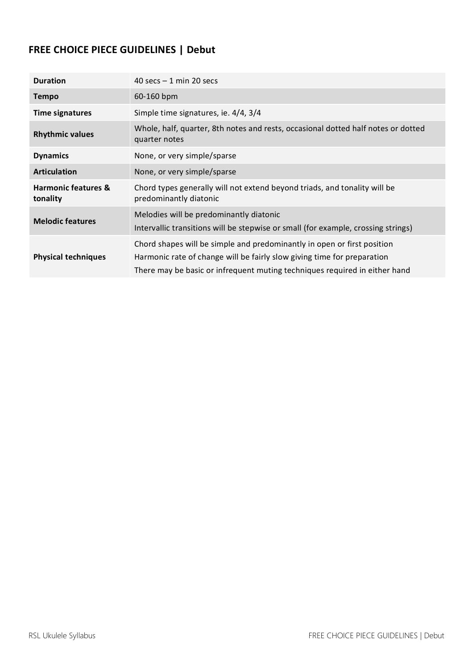### **FREE CHOICE PIECE GUIDELINES | Debut**

| <b>Duration</b>                            | 40 secs $-1$ min 20 secs                                                                                                                                                                                                         |
|--------------------------------------------|----------------------------------------------------------------------------------------------------------------------------------------------------------------------------------------------------------------------------------|
| <b>Tempo</b>                               | 60-160 bpm                                                                                                                                                                                                                       |
| <b>Time signatures</b>                     | Simple time signatures, ie. 4/4, 3/4                                                                                                                                                                                             |
| <b>Rhythmic values</b>                     | Whole, half, quarter, 8th notes and rests, occasional dotted half notes or dotted<br>quarter notes                                                                                                                               |
| <b>Dynamics</b>                            | None, or very simple/sparse                                                                                                                                                                                                      |
| <b>Articulation</b>                        | None, or very simple/sparse                                                                                                                                                                                                      |
| <b>Harmonic features &amp;</b><br>tonality | Chord types generally will not extend beyond triads, and tonality will be<br>predominantly diatonic                                                                                                                              |
| <b>Melodic features</b>                    | Melodies will be predominantly diatonic<br>Intervallic transitions will be stepwise or small (for example, crossing strings)                                                                                                     |
| <b>Physical techniques</b>                 | Chord shapes will be simple and predominantly in open or first position<br>Harmonic rate of change will be fairly slow giving time for preparation<br>There may be basic or infrequent muting techniques required in either hand |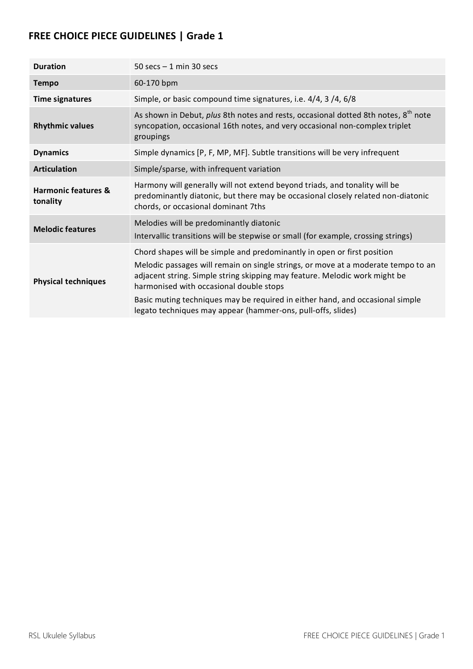| <b>Duration</b>                            | 50 secs $-1$ min 30 secs                                                                                                                                                                                                                                                                                                                                                                                                               |
|--------------------------------------------|----------------------------------------------------------------------------------------------------------------------------------------------------------------------------------------------------------------------------------------------------------------------------------------------------------------------------------------------------------------------------------------------------------------------------------------|
| <b>Tempo</b>                               | 60-170 bpm                                                                                                                                                                                                                                                                                                                                                                                                                             |
| <b>Time signatures</b>                     | Simple, or basic compound time signatures, i.e. 4/4, 3/4, 6/8                                                                                                                                                                                                                                                                                                                                                                          |
| <b>Rhythmic values</b>                     | As shown in Debut, plus 8th notes and rests, occasional dotted 8th notes, 8 <sup>th</sup> note<br>syncopation, occasional 16th notes, and very occasional non-complex triplet<br>groupings                                                                                                                                                                                                                                             |
| <b>Dynamics</b>                            | Simple dynamics [P, F, MP, MF]. Subtle transitions will be very infrequent                                                                                                                                                                                                                                                                                                                                                             |
| <b>Articulation</b>                        | Simple/sparse, with infrequent variation                                                                                                                                                                                                                                                                                                                                                                                               |
| <b>Harmonic features &amp;</b><br>tonality | Harmony will generally will not extend beyond triads, and tonality will be<br>predominantly diatonic, but there may be occasional closely related non-diatonic<br>chords, or occasional dominant 7ths                                                                                                                                                                                                                                  |
| <b>Melodic features</b>                    | Melodies will be predominantly diatonic<br>Intervallic transitions will be stepwise or small (for example, crossing strings)                                                                                                                                                                                                                                                                                                           |
| <b>Physical techniques</b>                 | Chord shapes will be simple and predominantly in open or first position<br>Melodic passages will remain on single strings, or move at a moderate tempo to an<br>adjacent string. Simple string skipping may feature. Melodic work might be<br>harmonised with occasional double stops<br>Basic muting techniques may be required in either hand, and occasional simple<br>legato techniques may appear (hammer-ons, pull-offs, slides) |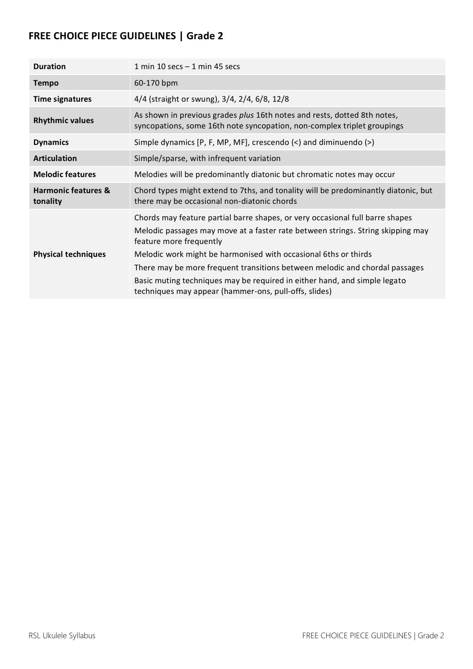| <b>Duration</b>                            | 1 min 10 secs $-$ 1 min 45 secs                                                                                                                                                                                                                                                                                                                                                                                                                                                     |
|--------------------------------------------|-------------------------------------------------------------------------------------------------------------------------------------------------------------------------------------------------------------------------------------------------------------------------------------------------------------------------------------------------------------------------------------------------------------------------------------------------------------------------------------|
| <b>Tempo</b>                               | 60-170 bpm                                                                                                                                                                                                                                                                                                                                                                                                                                                                          |
| <b>Time signatures</b>                     | 4/4 (straight or swung), 3/4, 2/4, 6/8, 12/8                                                                                                                                                                                                                                                                                                                                                                                                                                        |
| <b>Rhythmic values</b>                     | As shown in previous grades plus 16th notes and rests, dotted 8th notes,<br>syncopations, some 16th note syncopation, non-complex triplet groupings                                                                                                                                                                                                                                                                                                                                 |
| <b>Dynamics</b>                            | Simple dynamics $[P, F, MP, MF]$ , crescendo $\langle \langle \rangle$ and diminuendo $\langle \rangle$                                                                                                                                                                                                                                                                                                                                                                             |
| <b>Articulation</b>                        | Simple/sparse, with infrequent variation                                                                                                                                                                                                                                                                                                                                                                                                                                            |
| <b>Melodic features</b>                    | Melodies will be predominantly diatonic but chromatic notes may occur                                                                                                                                                                                                                                                                                                                                                                                                               |
| <b>Harmonic features &amp;</b><br>tonality | Chord types might extend to 7ths, and tonality will be predominantly diatonic, but<br>there may be occasional non-diatonic chords                                                                                                                                                                                                                                                                                                                                                   |
| <b>Physical techniques</b>                 | Chords may feature partial barre shapes, or very occasional full barre shapes<br>Melodic passages may move at a faster rate between strings. String skipping may<br>feature more frequently<br>Melodic work might be harmonised with occasional 6ths or thirds<br>There may be more frequent transitions between melodic and chordal passages<br>Basic muting techniques may be required in either hand, and simple legato<br>techniques may appear (hammer-ons, pull-offs, slides) |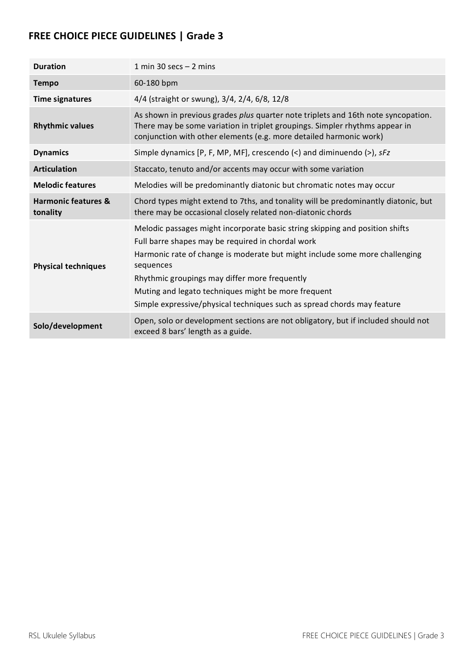| <b>Duration</b>                            | 1 min 30 secs $-$ 2 mins                                                                                                                                                                                                                                                                                                                                                                                         |
|--------------------------------------------|------------------------------------------------------------------------------------------------------------------------------------------------------------------------------------------------------------------------------------------------------------------------------------------------------------------------------------------------------------------------------------------------------------------|
| <b>Tempo</b>                               | 60-180 bpm                                                                                                                                                                                                                                                                                                                                                                                                       |
| <b>Time signatures</b>                     | 4/4 (straight or swung), 3/4, 2/4, 6/8, 12/8                                                                                                                                                                                                                                                                                                                                                                     |
| <b>Rhythmic values</b>                     | As shown in previous grades plus quarter note triplets and 16th note syncopation.<br>There may be some variation in triplet groupings. Simpler rhythms appear in<br>conjunction with other elements (e.g. more detailed harmonic work)                                                                                                                                                                           |
| <b>Dynamics</b>                            | Simple dynamics [P, F, MP, MF], crescendo (<) and diminuendo (>), sFz                                                                                                                                                                                                                                                                                                                                            |
| <b>Articulation</b>                        | Staccato, tenuto and/or accents may occur with some variation                                                                                                                                                                                                                                                                                                                                                    |
| <b>Melodic features</b>                    | Melodies will be predominantly diatonic but chromatic notes may occur                                                                                                                                                                                                                                                                                                                                            |
| <b>Harmonic features &amp;</b><br>tonality | Chord types might extend to 7ths, and tonality will be predominantly diatonic, but<br>there may be occasional closely related non-diatonic chords                                                                                                                                                                                                                                                                |
| <b>Physical techniques</b>                 | Melodic passages might incorporate basic string skipping and position shifts<br>Full barre shapes may be required in chordal work<br>Harmonic rate of change is moderate but might include some more challenging<br>sequences<br>Rhythmic groupings may differ more frequently<br>Muting and legato techniques might be more frequent<br>Simple expressive/physical techniques such as spread chords may feature |
| Solo/development                           | Open, solo or development sections are not obligatory, but if included should not<br>exceed 8 bars' length as a guide.                                                                                                                                                                                                                                                                                           |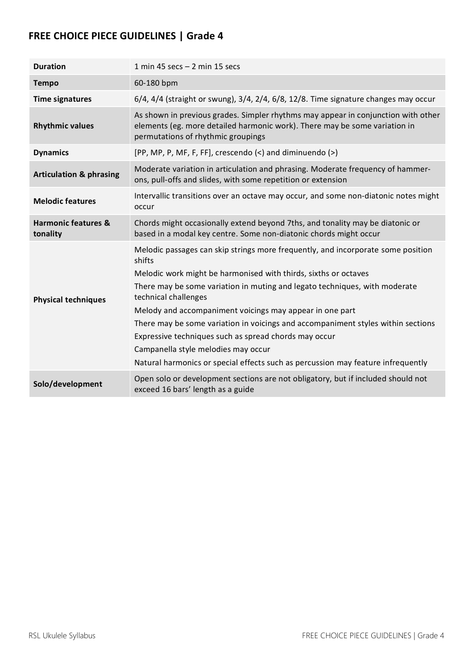| <b>Duration</b>                            | 1 min 45 secs $-$ 2 min 15 secs                                                                                                                                                                                                                                                                                                                                                                                                                                                                                                                                                                         |
|--------------------------------------------|---------------------------------------------------------------------------------------------------------------------------------------------------------------------------------------------------------------------------------------------------------------------------------------------------------------------------------------------------------------------------------------------------------------------------------------------------------------------------------------------------------------------------------------------------------------------------------------------------------|
| <b>Tempo</b>                               | 60-180 bpm                                                                                                                                                                                                                                                                                                                                                                                                                                                                                                                                                                                              |
| <b>Time signatures</b>                     | $6/4$ , $4/4$ (straight or swung), $3/4$ , $2/4$ , $6/8$ , $12/8$ . Time signature changes may occur                                                                                                                                                                                                                                                                                                                                                                                                                                                                                                    |
| <b>Rhythmic values</b>                     | As shown in previous grades. Simpler rhythms may appear in conjunction with other<br>elements (eg. more detailed harmonic work). There may be some variation in<br>permutations of rhythmic groupings                                                                                                                                                                                                                                                                                                                                                                                                   |
| <b>Dynamics</b>                            | [PP, MP, P, MF, F, FF], crescendo (<) and diminuendo (>)                                                                                                                                                                                                                                                                                                                                                                                                                                                                                                                                                |
| <b>Articulation &amp; phrasing</b>         | Moderate variation in articulation and phrasing. Moderate frequency of hammer-<br>ons, pull-offs and slides, with some repetition or extension                                                                                                                                                                                                                                                                                                                                                                                                                                                          |
| <b>Melodic features</b>                    | Intervallic transitions over an octave may occur, and some non-diatonic notes might<br>occur                                                                                                                                                                                                                                                                                                                                                                                                                                                                                                            |
| <b>Harmonic features &amp;</b><br>tonality | Chords might occasionally extend beyond 7ths, and tonality may be diatonic or<br>based in a modal key centre. Some non-diatonic chords might occur                                                                                                                                                                                                                                                                                                                                                                                                                                                      |
| <b>Physical techniques</b>                 | Melodic passages can skip strings more frequently, and incorporate some position<br>shifts<br>Melodic work might be harmonised with thirds, sixths or octaves<br>There may be some variation in muting and legato techniques, with moderate<br>technical challenges<br>Melody and accompaniment voicings may appear in one part<br>There may be some variation in voicings and accompaniment styles within sections<br>Expressive techniques such as spread chords may occur<br>Campanella style melodies may occur<br>Natural harmonics or special effects such as percussion may feature infrequently |
| Solo/development                           | Open solo or development sections are not obligatory, but if included should not<br>exceed 16 bars' length as a guide                                                                                                                                                                                                                                                                                                                                                                                                                                                                                   |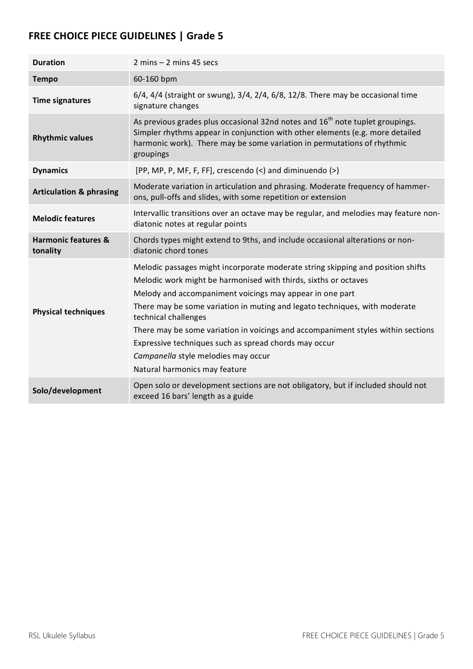| <b>Duration</b>                            | $2 \text{ mins} - 2 \text{ mins}$ 45 secs                                                                                                                                                                                                                                                                                                                                                                                                                                                                                                 |
|--------------------------------------------|-------------------------------------------------------------------------------------------------------------------------------------------------------------------------------------------------------------------------------------------------------------------------------------------------------------------------------------------------------------------------------------------------------------------------------------------------------------------------------------------------------------------------------------------|
| <b>Tempo</b>                               | 60-160 bpm                                                                                                                                                                                                                                                                                                                                                                                                                                                                                                                                |
| <b>Time signatures</b>                     | $6/4$ , $4/4$ (straight or swung), $3/4$ , $2/4$ , $6/8$ , $12/8$ . There may be occasional time<br>signature changes                                                                                                                                                                                                                                                                                                                                                                                                                     |
| <b>Rhythmic values</b>                     | As previous grades plus occasional 32nd notes and 16 <sup>th</sup> note tuplet groupings.<br>Simpler rhythms appear in conjunction with other elements (e.g. more detailed<br>harmonic work). There may be some variation in permutations of rhythmic<br>groupings                                                                                                                                                                                                                                                                        |
| <b>Dynamics</b>                            | [PP, MP, P, MF, F, FF], crescendo $\left\langle \leq \right\rangle$ and diminuendo $\left\langle \geq \right\rangle$                                                                                                                                                                                                                                                                                                                                                                                                                      |
| <b>Articulation &amp; phrasing</b>         | Moderate variation in articulation and phrasing. Moderate frequency of hammer-<br>ons, pull-offs and slides, with some repetition or extension                                                                                                                                                                                                                                                                                                                                                                                            |
| <b>Melodic features</b>                    | Intervallic transitions over an octave may be regular, and melodies may feature non-<br>diatonic notes at regular points                                                                                                                                                                                                                                                                                                                                                                                                                  |
| <b>Harmonic features &amp;</b><br>tonality | Chords types might extend to 9ths, and include occasional alterations or non-<br>diatonic chord tones                                                                                                                                                                                                                                                                                                                                                                                                                                     |
| <b>Physical techniques</b>                 | Melodic passages might incorporate moderate string skipping and position shifts<br>Melodic work might be harmonised with thirds, sixths or octaves<br>Melody and accompaniment voicings may appear in one part<br>There may be some variation in muting and legato techniques, with moderate<br>technical challenges<br>There may be some variation in voicings and accompaniment styles within sections<br>Expressive techniques such as spread chords may occur<br>Campanella style melodies may occur<br>Natural harmonics may feature |
| Solo/development                           | Open solo or development sections are not obligatory, but if included should not<br>exceed 16 bars' length as a guide                                                                                                                                                                                                                                                                                                                                                                                                                     |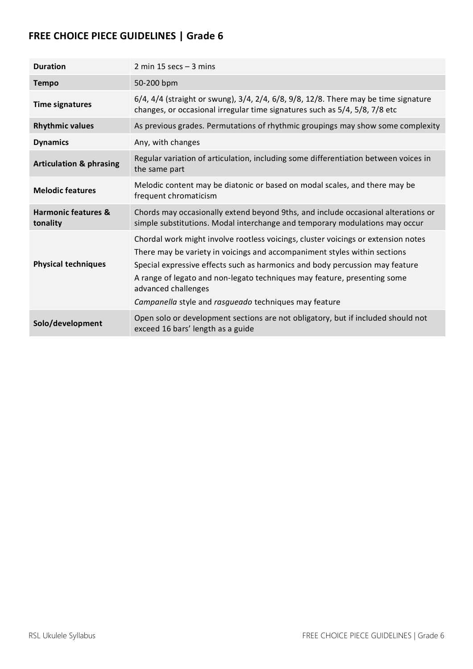| <b>Duration</b>                            | 2 min 15 secs $-$ 3 mins                                                                                                                                                                                                                                                                                                                                                                                   |
|--------------------------------------------|------------------------------------------------------------------------------------------------------------------------------------------------------------------------------------------------------------------------------------------------------------------------------------------------------------------------------------------------------------------------------------------------------------|
| <b>Tempo</b>                               | 50-200 bpm                                                                                                                                                                                                                                                                                                                                                                                                 |
| <b>Time signatures</b>                     | 6/4, 4/4 (straight or swung), 3/4, 2/4, 6/8, 9/8, 12/8. There may be time signature<br>changes, or occasional irregular time signatures such as 5/4, 5/8, 7/8 etc                                                                                                                                                                                                                                          |
| <b>Rhythmic values</b>                     | As previous grades. Permutations of rhythmic groupings may show some complexity                                                                                                                                                                                                                                                                                                                            |
| <b>Dynamics</b>                            | Any, with changes                                                                                                                                                                                                                                                                                                                                                                                          |
| <b>Articulation &amp; phrasing</b>         | Regular variation of articulation, including some differentiation between voices in<br>the same part                                                                                                                                                                                                                                                                                                       |
| <b>Melodic features</b>                    | Melodic content may be diatonic or based on modal scales, and there may be<br>frequent chromaticism                                                                                                                                                                                                                                                                                                        |
| <b>Harmonic features &amp;</b><br>tonality | Chords may occasionally extend beyond 9ths, and include occasional alterations or<br>simple substitutions. Modal interchange and temporary modulations may occur                                                                                                                                                                                                                                           |
| <b>Physical techniques</b>                 | Chordal work might involve rootless voicings, cluster voicings or extension notes<br>There may be variety in voicings and accompaniment styles within sections<br>Special expressive effects such as harmonics and body percussion may feature<br>A range of legato and non-legato techniques may feature, presenting some<br>advanced challenges<br>Campanella style and rasgueado techniques may feature |
| Solo/development                           | Open solo or development sections are not obligatory, but if included should not<br>exceed 16 bars' length as a guide                                                                                                                                                                                                                                                                                      |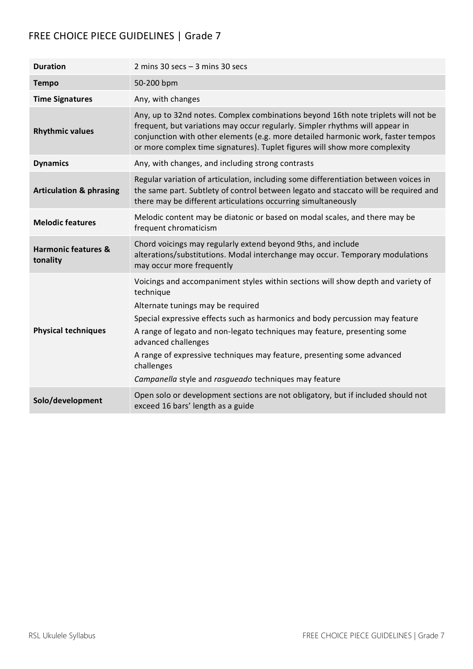| <b>Duration</b>                            | 2 mins 30 secs $-$ 3 mins 30 secs                                                                                                                                                                                                                                                                                                                                                                                                                                      |
|--------------------------------------------|------------------------------------------------------------------------------------------------------------------------------------------------------------------------------------------------------------------------------------------------------------------------------------------------------------------------------------------------------------------------------------------------------------------------------------------------------------------------|
| <b>Tempo</b>                               | 50-200 bpm                                                                                                                                                                                                                                                                                                                                                                                                                                                             |
| <b>Time Signatures</b>                     | Any, with changes                                                                                                                                                                                                                                                                                                                                                                                                                                                      |
| <b>Rhythmic values</b>                     | Any, up to 32nd notes. Complex combinations beyond 16th note triplets will not be<br>frequent, but variations may occur regularly. Simpler rhythms will appear in<br>conjunction with other elements (e.g. more detailed harmonic work, faster tempos<br>or more complex time signatures). Tuplet figures will show more complexity                                                                                                                                    |
| <b>Dynamics</b>                            | Any, with changes, and including strong contrasts                                                                                                                                                                                                                                                                                                                                                                                                                      |
| <b>Articulation &amp; phrasing</b>         | Regular variation of articulation, including some differentiation between voices in<br>the same part. Subtlety of control between legato and staccato will be required and<br>there may be different articulations occurring simultaneously                                                                                                                                                                                                                            |
| <b>Melodic features</b>                    | Melodic content may be diatonic or based on modal scales, and there may be<br>frequent chromaticism                                                                                                                                                                                                                                                                                                                                                                    |
| <b>Harmonic features &amp;</b><br>tonality | Chord voicings may regularly extend beyond 9ths, and include<br>alterations/substitutions. Modal interchange may occur. Temporary modulations<br>may occur more frequently                                                                                                                                                                                                                                                                                             |
| <b>Physical techniques</b>                 | Voicings and accompaniment styles within sections will show depth and variety of<br>technique<br>Alternate tunings may be required<br>Special expressive effects such as harmonics and body percussion may feature<br>A range of legato and non-legato techniques may feature, presenting some<br>advanced challenges<br>A range of expressive techniques may feature, presenting some advanced<br>challenges<br>Campanella style and rasgueado techniques may feature |
| Solo/development                           | Open solo or development sections are not obligatory, but if included should not<br>exceed 16 bars' length as a guide                                                                                                                                                                                                                                                                                                                                                  |